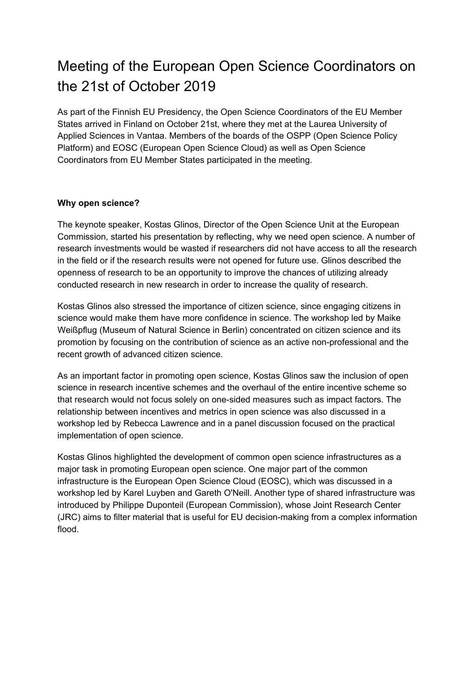## Meeting of the European Open Science Coordinators on the 21st of October 2019

As part of the Finnish EU Presidency, the Open Science Coordinators of the EU Member States arrived in Finland on October 21st, where they met at the Laurea University of Applied Sciences in Vantaa. Members of the boards of the OSPP (Open Science Policy Platform) and EOSC (European Open Science Cloud) as well as Open Science Coordinators from EU Member States participated in the meeting.

## **Why open science?**

The keynote speaker, Kostas Glinos, Director of the Open Science Unit at the European Commission, started his presentation by reflecting, why we need open science. A number of research investments would be wasted if researchers did not have access to all the research in the field or if the research results were not opened for future use. Glinos described the openness of research to be an opportunity to improve the chances of utilizing already conducted research in new research in order to increase the quality of research.

Kostas Glinos also stressed the importance of citizen science, since engaging citizens in science would make them have more confidence in science. The workshop led by Maike Weißpflug (Museum of Natural Science in Berlin) concentrated on citizen science and its promotion by focusing on the contribution of science as an active non-professional and the recent growth of advanced citizen science.

As an important factor in promoting open science, Kostas Glinos saw the inclusion of open science in research incentive schemes and the overhaul of the entire incentive scheme so that research would not focus solely on one-sided measures such as impact factors. The relationship between incentives and metrics in open science was also discussed in a workshop led by Rebecca Lawrence and in a panel discussion focused on the practical implementation of open science.

Kostas Glinos highlighted the development of common open science infrastructures as a major task in promoting European open science. One major part of the common infrastructure is the European Open Science Cloud (EOSC), which was discussed in a workshop led by Karel Luyben and Gareth O'Neill. Another type of shared infrastructure was introduced by Philippe Duponteil (European Commission), whose Joint Research Center (JRC) aims to filter material that is useful for EU decision-making from a complex information flood.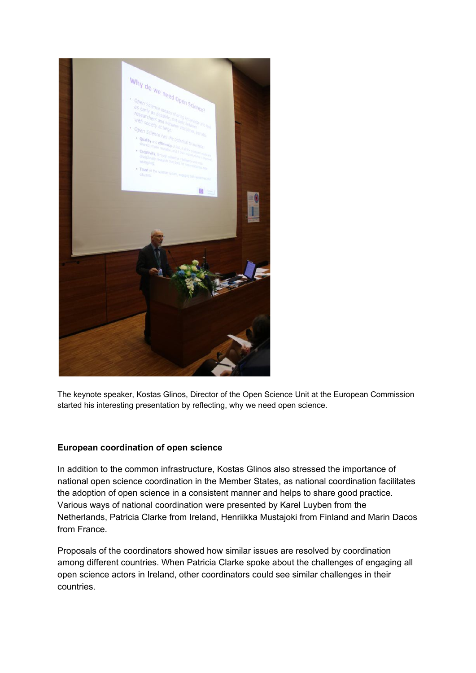

The keynote speaker, Kostas Glinos, Director of the Open Science Unit at the European Commission started his interesting presentation by reflecting, why we need open science.

## **European coordination of open science**

In addition to the common infrastructure, Kostas Glinos also stressed the importance of national open science coordination in the Member States, as national coordination facilitates the adoption of open science in a consistent manner and helps to share good practice. Various ways of national coordination were presented by Karel Luyben from the Netherlands, Patricia Clarke from Ireland, Henriikka Mustajoki from Finland and Marin Dacos from France.

Proposals of the coordinators showed how similar issues are resolved by coordination among different countries. When Patricia Clarke spoke about the challenges of engaging all open science actors in Ireland, other coordinators could see similar challenges in their countries.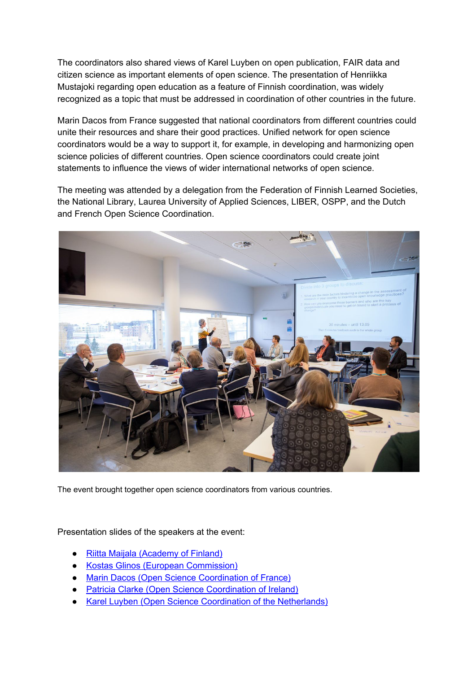The coordinators also shared views of Karel Luyben on open publication, FAIR data and citizen science as important elements of open science. The presentation of Henriikka Mustajoki regarding open education as a feature of Finnish coordination, was widely recognized as a topic that must be addressed in coordination of other countries in the future.

Marin Dacos from France suggested that national coordinators from different countries could unite their resources and share their good practices. Unified network for open science coordinators would be a way to support it, for example, in developing and harmonizing open science policies of different countries. Open science coordinators could create joint statements to influence the views of wider international networks of open science.

The meeting was attended by a delegation from the Federation of Finnish Learned Societies, the National Library, Laurea University of Applied Sciences, LIBER, OSPP, and the Dutch and French Open Science Coordination.



The event brought together open science coordinators from various countries.

## Presentation slides of the speakers at the event:

- **Riitta Maijala [\(Academy](https://avointiede.fi/sites/avointiede.fi/files/2-RiittaMaijala%20EU%20Open%20science%20coordinators%20%20Final.pdf) of Finland)**
- **Kostas Glinos (European [Commission\)](https://avointiede.fi/sites/avointiede.fi/files/3-2019_10_21_OSCoordination_Keynote_Slides_Final.pdf)**
- Marin Dacos (Open Science [Coordination](https://avointiede.fi/sites/avointiede.fi/files/4-Marin%20Dacos%20-%20Coordinate%20the%20coordinators.pdf) of France)
- **Patricia Clarke (Open Science [Coordination](https://avointiede.fi/sites/avointiede.fi/files/5-Clarke_Ireland_National%20Open%20Science%20Coordination%20Finland%2021Oct2019.pdf) of Ireland)**
- **Karel Luyben (Open Science Coordination of the [Netherlands\)](https://avointiede.fi/sites/avointiede.fi/files/6a-Coordination%20of%20Open%20Science%20in%20the%20Natherlands.pdf)**